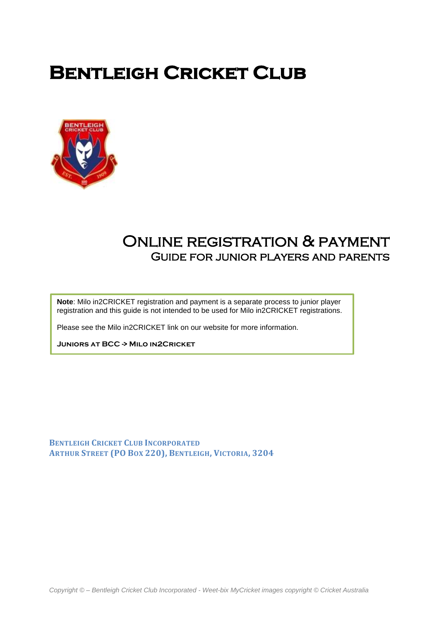# **BENTLEIGH CRICKET CLUB**



# Online registration & payment Guide for junior players and parents

**Note**: Milo in2CRICKET registration and payment is a separate process to junior player registration and this guide is not intended to be used for Milo in2CRICKET registrations.

Please see the Milo in2CRICKET link on our website for more information.

**JUNIORS AT BCC > MILO IN2CRICKET** 

**BENTLEIGH CRICKET CLUB INCORPORATED ARTHUR STREET (PO BOX 220), BENTLEIGH, VICTORIA, 3204**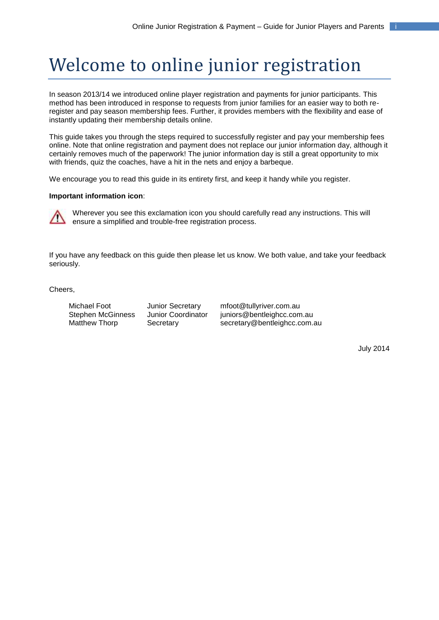# Welcome to online junior registration

In season 2013/14 we introduced online player registration and payments for junior participants. This method has been introduced in response to requests from junior families for an easier way to both reregister and pay season membership fees. Further, it provides members with the flexibility and ease of instantly updating their membership details online.

This guide takes you through the steps required to successfully register and pay your membership fees online. Note that online registration and payment does not replace our junior information day, although it certainly removes much of the paperwork! The junior information day is still a great opportunity to mix with friends, quiz the coaches, have a hit in the nets and enjoy a barbeque.

We encourage you to read this guide in its entirety first, and keep it handy while you register.

#### **Important information icon**:



Wherever you see this exclamation icon you should carefully read any instructions. This will ensure a simplified and trouble-free registration process.

If you have any feedback on this guide then please let us know. We both value, and take your feedback seriously.

Cheers,

Michael Foot Junior Secretary mfoot@tullyriver.com.au Stephen McGinness Junior Coordinator juniors@bentleighcc.com.au Matthew Thorp Secretary Secretary Secretary@bentleighcc.com.au

July 2014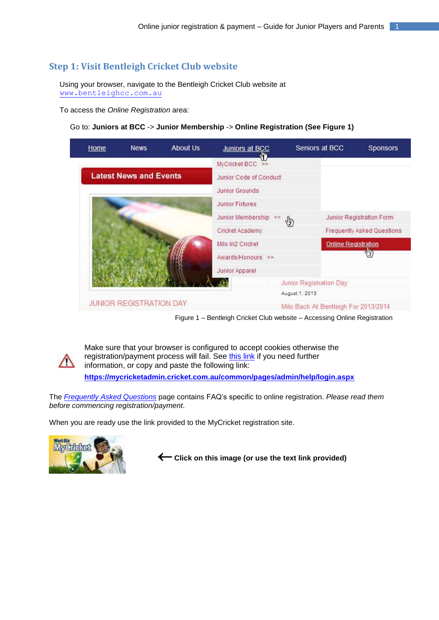# **Step 1: Visit Bentleigh Cricket Club website**

Using your browser, navigate to the Bentleigh Cricket Club website at [www.bentleighcc.com.au](http://www.bentleighcc.com.au/)

To access the *Online Registration* area:

#### Go to: **Juniors at BCC** -> **Junior Membership** -> **Online Registration (See Figure 1)**



Figure 1 – Bentleigh Cricket Club website – Accessing Online Registration



Make sure that your browser is configured to accept cookies otherwise the registration/payment process will fail. See [this link](https://mycricketadmin.cricket.com.au/common/pages/admin/help/login.aspx) if you need further information, or copy and paste the following link: **<https://mycricketadmin.cricket.com.au/common/pages/admin/help/login.aspx>**

The *[Frequently Asked Questions](http://www.bentleighcc.com.au/page/frequently_asked_questions.html)* page contains FAQ's specific to online registration. *Please read them before commencing registration/payment*.

When you are ready use the link provided to the MyCricket registration site.



**Click on this image (or use the text link provided)**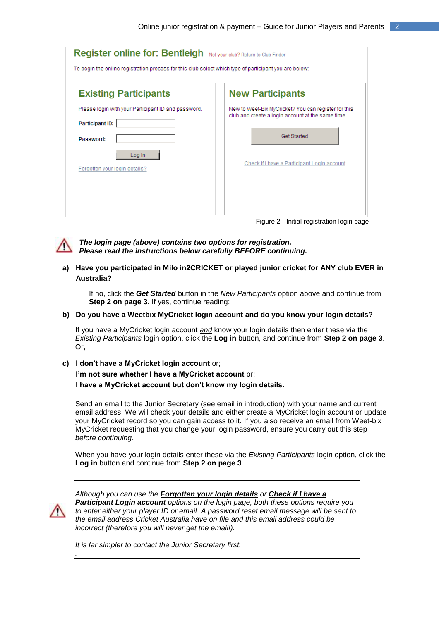| Register online for: Bentleigh Not your club? Return to Club Finder                                    |                                                                                                           |  |
|--------------------------------------------------------------------------------------------------------|-----------------------------------------------------------------------------------------------------------|--|
| To begin the online registration process for this club select which type of participant you are below: |                                                                                                           |  |
| <b>Existing Participants</b>                                                                           | <b>New Participants</b>                                                                                   |  |
| Please login with your Participant ID and password.<br><b>Participant ID:</b>                          | New to Weet-Bix MyCricket? You can register for this<br>club and create a login account at the same time. |  |
| Password:<br>Log In                                                                                    | Get Started                                                                                               |  |
| Forgotten your login details?                                                                          | Check if I have a Participant Login account                                                               |  |
|                                                                                                        |                                                                                                           |  |

Figure 2 - Initial registration login page



#### *The login page (above) contains two options for registration. Please read the instructions below carefully BEFORE continuing.*

#### **a) Have you participated in Milo in2CRICKET or played junior cricket for ANY club EVER in Australia?**

If no, click the *Get Started* button in the *New Participants* option above and continue from **Step 2 on page 3**. If yes, continue reading:

#### **b) Do you have a Weetbix MyCricket login account and do you know your login details?**

If you have a MyCricket login account *and* know your login details then enter these via the *Existing Participants* login option, click the **Log in** button, and continue from **Step 2 on page 3**. Or,

**c) I don't have a MyCricket login account** or; **I'm not sure whether I have a MyCricket account** or; **I have a MyCricket account but don't know my login details.**

Send an email to the Junior Secretary (see email in introduction) with your name and current email address. We will check your details and either create a MyCricket login account or update your MyCricket record so you can gain access to it. If you also receive an email from Weet-bix MyCricket requesting that you change your login password, ensure you carry out this step *before continuing*.

When you have your login details enter these via the *Existing Participants* login option, click the **Log in** button and continue from **Step 2 on page 3**.



*.*

*Although you can use the Forgotten your login details or Check if I have a Participant Login account options on the login page, both these options require you to enter either your player ID or email. A password reset email message will be sent to the email address Cricket Australia have on file and this email address could be incorrect (therefore you will never get the email!).*

*It is far simpler to contact the Junior Secretary first.*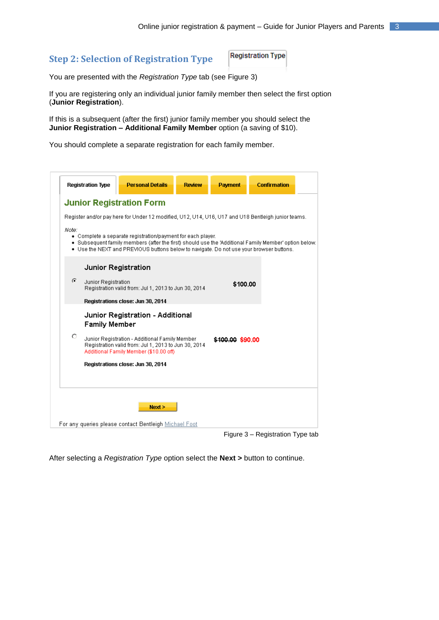## **Step 2: Selection of Registration Type**

**Registration Type** 

You are presented with the *Registration Type* tab (see Figure 3)

If you are registering only an individual junior family member then select the first option (**Junior Registration**).

If this is a subsequent (after the first) junior family member you should select the **Junior Registration – Additional Family Member** option (a saving of \$10).

You should complete a separate registration for each family member.

|       | <b>Registration Type</b> | <b>Personal Details</b>                                                                                                                                                                                                                                         | <b>Review</b> | <b>Payment</b>   | <b>Confirmation</b> |  |
|-------|--------------------------|-----------------------------------------------------------------------------------------------------------------------------------------------------------------------------------------------------------------------------------------------------------------|---------------|------------------|---------------------|--|
|       |                          | <b>Junior Registration Form</b>                                                                                                                                                                                                                                 |               |                  |                     |  |
|       |                          | Register and/or pay here for Under 12 modified, U12, U14, U16, U17 and U18 Bentleigh junior teams.                                                                                                                                                              |               |                  |                     |  |
| Note: |                          | • Complete a separate registration/payment for each player.<br>. Subsequent family members (after the first) should use the 'Additional Family Member' option below.<br>. Use the NEXT and PREVIOUS buttons below to navigate. Do not use your browser buttons. |               |                  |                     |  |
|       |                          | Junior Registration                                                                                                                                                                                                                                             |               |                  |                     |  |
| G.    | Junior Registration      | Registration valid from: Jul 1, 2013 to Jun 30, 2014                                                                                                                                                                                                            |               | \$100.00         |                     |  |
|       |                          | Registrations close: Jun 30, 2014                                                                                                                                                                                                                               |               |                  |                     |  |
|       | <b>Family Member</b>     | Junior Registration - Additional                                                                                                                                                                                                                                |               |                  |                     |  |
| О     |                          | Junior Registration - Additional Family Member<br>Registration valid from: Jul 1, 2013 to Jun 30, 2014<br>Additional Family Member (\$10.00 off)                                                                                                                |               | \$100.00 \$90.00 |                     |  |
|       |                          | Registrations close: Jun 30, 2014                                                                                                                                                                                                                               |               |                  |                     |  |
|       |                          |                                                                                                                                                                                                                                                                 |               |                  |                     |  |
|       |                          |                                                                                                                                                                                                                                                                 |               |                  |                     |  |
|       |                          | Next                                                                                                                                                                                                                                                            |               |                  |                     |  |
|       |                          | For any queries please contact Bentleigh Michael Foot                                                                                                                                                                                                           |               |                  |                     |  |
|       |                          |                                                                                                                                                                                                                                                                 |               |                  |                     |  |

Figure 3 – Registration Type tab

After selecting a *Registration Type* option select the **Next >** button to continue.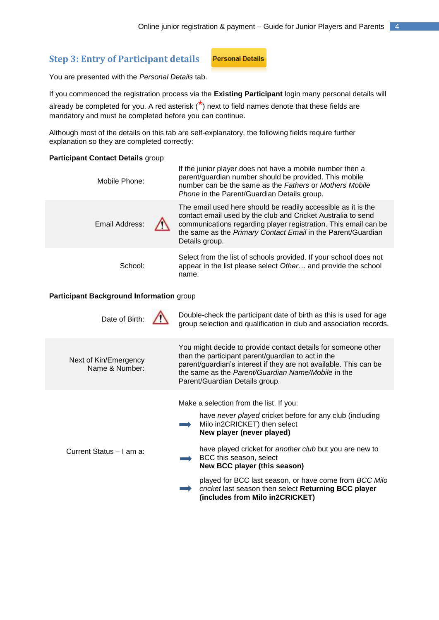#### **Step 3: Entry of Participant details**

**Personal Details** 

You are presented with the *Personal Details* tab.

#### If you commenced the registration process via the **Existing Participant** login many personal details will

already be completed for you. A red asterisk  $\binom{x}{k}$  next to field names denote that these fields are mandatory and must be completed before you can continue.

Although most of the details on this tab are self-explanatory, the following fields require further explanation so they are completed correctly:

#### **Participant Contact Details** group

| Mobile Phone:                                   | If the junior player does not have a mobile number then a<br>parent/guardian number should be provided. This mobile<br>number can be the same as the Fathers or Mothers Mobile<br><i>Phone</i> in the Parent/Guardian Details group.                                               |  |  |
|-------------------------------------------------|------------------------------------------------------------------------------------------------------------------------------------------------------------------------------------------------------------------------------------------------------------------------------------|--|--|
| Email Address:                                  | The email used here should be readily accessible as it is the<br>contact email used by the club and Cricket Australia to send<br>communications regarding player registration. This email can be<br>the same as the Primary Contact Email in the Parent/Guardian<br>Details group. |  |  |
| School:                                         | Select from the list of schools provided. If your school does not<br>appear in the list please select Other and provide the school<br>name.                                                                                                                                        |  |  |
| <b>Particinant Background Information group</b> |                                                                                                                                                                                                                                                                                    |  |  |

#### **Participant Background Information** group

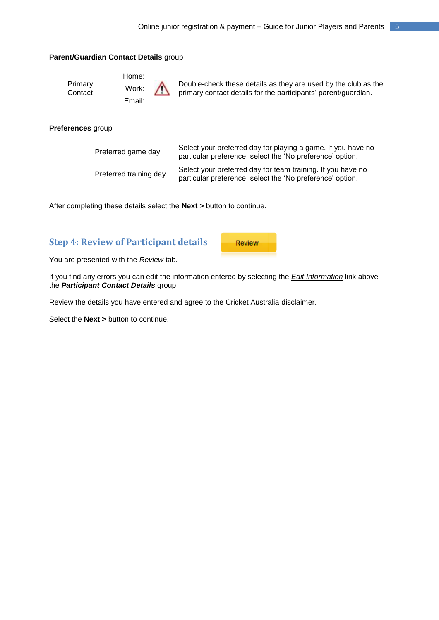#### **Parent/Guardian Contact Details** group

Home: Work: Email:

Double-check these details as they are used by the club as the primary contact details for the participants' parent/guardian.

#### **Preferences** group

Primary **Contact** 

| Preferred game day     | Select your preferred day for playing a game. If you have no<br>particular preference, select the 'No preference' option. |
|------------------------|---------------------------------------------------------------------------------------------------------------------------|
| Preferred training day | Select your preferred day for team training. If you have no<br>particular preference, select the 'No preference' option.  |

After completing these details select the **Next >** button to continue.

## **Step 4: Review of Participant details**

**Review** 

You are presented with the *Review* tab.

If you find any errors you can edit the information entered by selecting the *Edit Information* link above the *Participant Contact Details* group

Review the details you have entered and agree to the Cricket Australia disclaimer.

Select the **Next >** button to continue.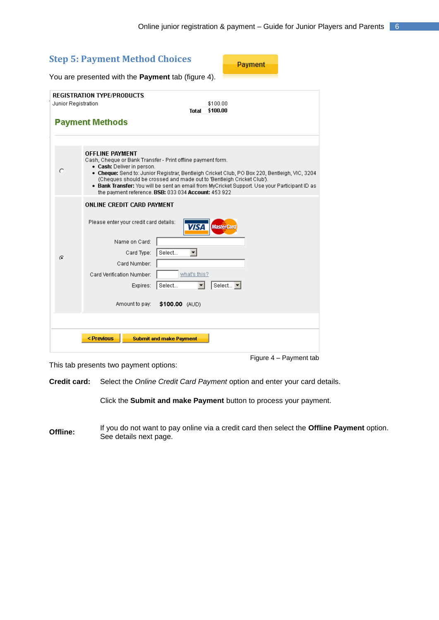| <b>Step 5: Payment Method Choices</b><br>Payment   |                                                                                                                                                                                                                                                                                                                                                                                                                                                        |  |  |  |
|----------------------------------------------------|--------------------------------------------------------------------------------------------------------------------------------------------------------------------------------------------------------------------------------------------------------------------------------------------------------------------------------------------------------------------------------------------------------------------------------------------------------|--|--|--|
| You are presented with the Payment tab (figure 4). |                                                                                                                                                                                                                                                                                                                                                                                                                                                        |  |  |  |
| Junior Registration                                | REGISTRATION TYPE/PRODUCTS<br>\$100.00<br>\$100.00<br>Total<br><b>Payment Methods</b>                                                                                                                                                                                                                                                                                                                                                                  |  |  |  |
|                                                    |                                                                                                                                                                                                                                                                                                                                                                                                                                                        |  |  |  |
| O                                                  | <b>OFFLINE PAYMENT</b><br>Cash, Cheque or Bank Transfer - Print offline payment form.<br>• Cash: Deliver in person.<br>• Cheque: Send to: Junior Registrar, Bentleigh Cricket Club, PO Box 220, Bentleigh, VIC, 3204<br>(Cheques should be crossed and made out to 'Bentleigh Cricket Club').<br>. Bank Transfer: You will be sent an email from MyCricket Support. Use your Participant ID as<br>the payment reference. BSB: 033 034 Account: 453 922 |  |  |  |
| G                                                  | ONLINE CREDIT CARD PAYMENT<br>Please enter your credit card details:<br><b>VISA</b><br><b>MasterCard</b><br>Name on Card:<br>Select<br>Card Type:<br>▼<br>Card Number:<br>what's this?<br>Card Verification Number:<br>Select $\blacktriangledown$<br>Select<br>Expires:<br>Amount to pay:<br>\$100.00 (AUD)                                                                                                                                           |  |  |  |
|                                                    |                                                                                                                                                                                                                                                                                                                                                                                                                                                        |  |  |  |
|                                                    | < Previous<br><b>Submit and make Payment</b>                                                                                                                                                                                                                                                                                                                                                                                                           |  |  |  |

This tab presents two payment options:

Figure 4 – Payment tab

**Credit card:** Select the *Online Credit Card Payment* option and enter your card details.

Click the **Submit and make Payment** button to process your payment.

**Offline:** If you do not want to pay online via a credit card then select the **Offline Payment** option. See details next page.